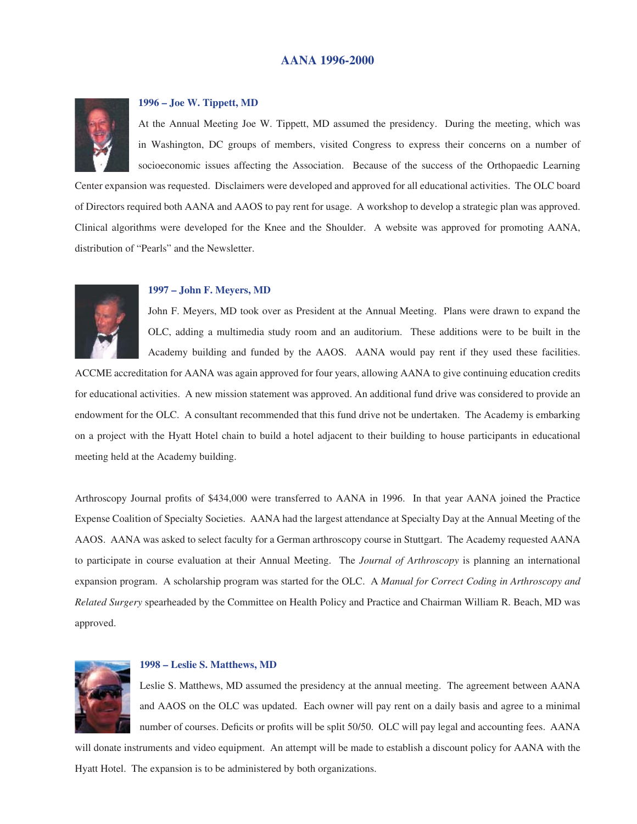# **AANA 1996-2000**



## **1996 – Joe W. Tippett, MD**

At the Annual Meeting Joe W. Tippett, MD assumed the presidency. During the meeting, which was in Washington, DC groups of members, visited Congress to express their concerns on a number of socioeconomic issues affecting the Association. Because of the success of the Orthopaedic Learning

Center expansion was requested. Disclaimers were developed and approved for all educational activities. The OLC board of Directors required both AANA and AAOS to pay rent for usage. A workshop to develop a strategic plan was approved. Clinical algorithms were developed for the Knee and the Shoulder. A website was approved for promoting AANA, distribution of "Pearls" and the Newsletter.



### **1997 – John F. Meyers, MD**

John F. Meyers, MD took over as President at the Annual Meeting. Plans were drawn to expand the OLC, adding a multimedia study room and an auditorium. These additions were to be built in the Academy building and funded by the AAOS. AANA would pay rent if they used these facilities.

ACCME accreditation for AANA was again approved for four years, allowing AANA to give continuing education credits for educational activities. A new mission statement was approved. An additional fund drive was considered to provide an endowment for the OLC. A consultant recommended that this fund drive not be undertaken. The Academy is embarking on a project with the Hyatt Hotel chain to build a hotel adjacent to their building to house participants in educational meeting held at the Academy building.

Arthroscopy Journal profits of \$434,000 were transferred to AANA in 1996. In that year AANA joined the Practice Expense Coalition of Specialty Societies. AANA had the largest attendance at Specialty Day at the Annual Meeting of the AAOS. AANA was asked to select faculty for a German arthroscopy course in Stuttgart. The Academy requested AANA to participate in course evaluation at their Annual Meeting. The *Journal of Arthroscopy* is planning an international expansion program. A scholarship program was started for the OLC. A *Manual for Correct Coding in Arthroscopy and Related Surgery* spearheaded by the Committee on Health Policy and Practice and Chairman William R. Beach, MD was approved.



# **1998 – Leslie S. Matthews, MD**

Leslie S. Matthews, MD assumed the presidency at the annual meeting. The agreement between AANA and AAOS on the OLC was updated. Each owner will pay rent on a daily basis and agree to a minimal number of courses. Deficits or profits will be split 50/50. OLC will pay legal and accounting fees. AANA

will donate instruments and video equipment. An attempt will be made to establish a discount policy for AANA with the Hyatt Hotel. The expansion is to be administered by both organizations.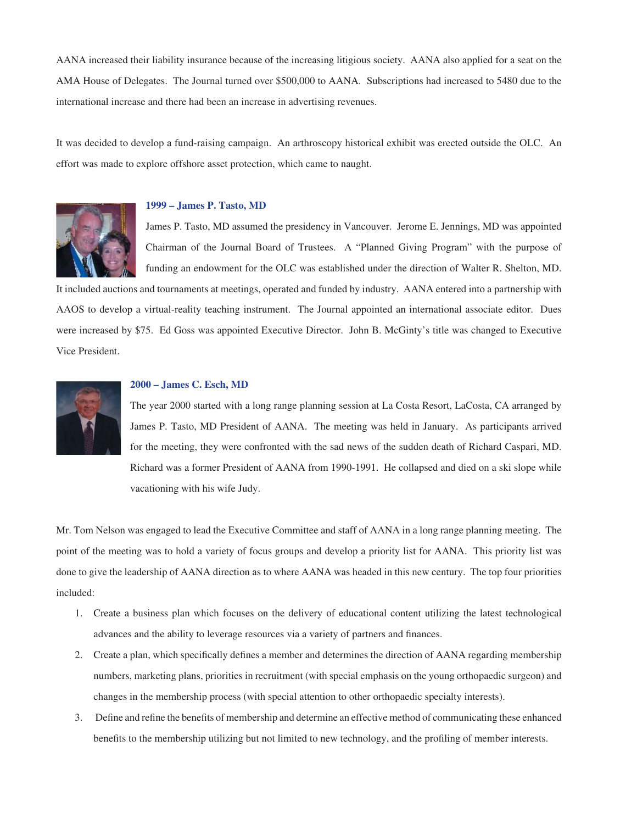AANA increased their liability insurance because of the increasing litigious society. AANA also applied for a seat on the AMA House of Delegates. The Journal turned over \$500,000 to AANA. Subscriptions had increased to 5480 due to the international increase and there had been an increase in advertising revenues.

It was decided to develop a fund-raising campaign. An arthroscopy historical exhibit was erected outside the OLC. An effort was made to explore offshore asset protection, which came to naught.



### **1999 – James P. Tasto, MD**

James P. Tasto, MD assumed the presidency in Vancouver. Jerome E. Jennings, MD was appointed Chairman of the Journal Board of Trustees. A "Planned Giving Program" with the purpose of funding an endowment for the OLC was established under the direction of Walter R. Shelton, MD.

It included auctions and tournaments at meetings, operated and funded by industry. AANA entered into a partnership with AAOS to develop a virtual-reality teaching instrument. The Journal appointed an international associate editor. Dues were increased by \$75. Ed Goss was appointed Executive Director. John B. McGinty's title was changed to Executive Vice President.



#### **2000 – James C. Esch, MD**

The year 2000 started with a long range planning session at La Costa Resort, LaCosta, CA arranged by James P. Tasto, MD President of AANA. The meeting was held in January. As participants arrived for the meeting, they were confronted with the sad news of the sudden death of Richard Caspari, MD. Richard was a former President of AANA from 1990-1991. He collapsed and died on a ski slope while vacationing with his wife Judy.

Mr. Tom Nelson was engaged to lead the Executive Committee and staff of AANA in a long range planning meeting. The point of the meeting was to hold a variety of focus groups and develop a priority list for AANA. This priority list was done to give the leadership of AANA direction as to where AANA was headed in this new century. The top four priorities included:

- 1. Create a business plan which focuses on the delivery of educational content utilizing the latest technological advances and the ability to leverage resources via a variety of partners and finances.
- 2. Create a plan, which specifically defines a member and determines the direction of AANA regarding membership numbers, marketing plans, priorities in recruitment (with special emphasis on the young orthopaedic surgeon) and changes in the membership process (with special attention to other orthopaedic specialty interests).
- 3. Define and refine the benefits of membership and determine an effective method of communicating these enhanced benefits to the membership utilizing but not limited to new technology, and the profiling of member interests.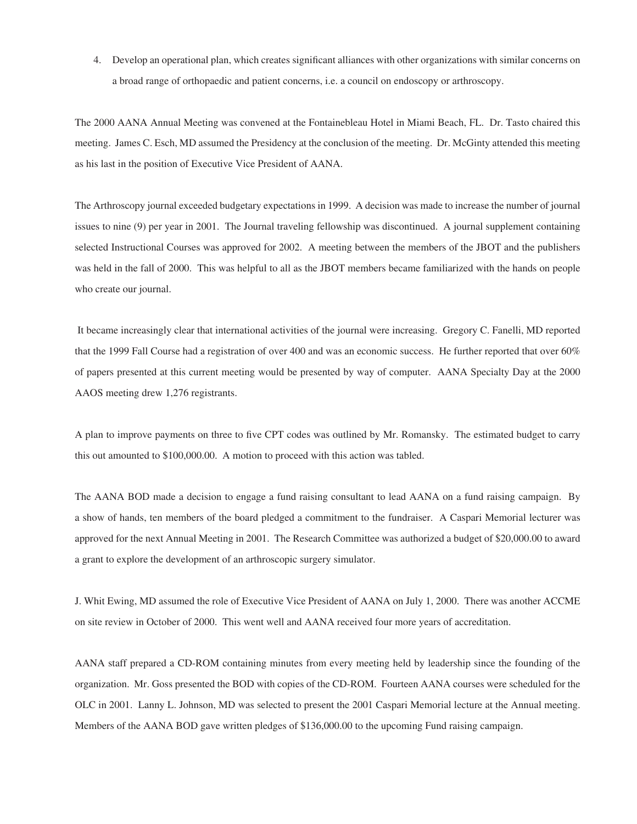4. Develop an operational plan, which creates significant alliances with other organizations with similar concerns on a broad range of orthopaedic and patient concerns, i.e. a council on endoscopy or arthroscopy.

The 2000 AANA Annual Meeting was convened at the Fontainebleau Hotel in Miami Beach, FL. Dr. Tasto chaired this meeting. James C. Esch, MD assumed the Presidency at the conclusion of the meeting. Dr. McGinty attended this meeting as his last in the position of Executive Vice President of AANA.

The Arthroscopy journal exceeded budgetary expectations in 1999. A decision was made to increase the number of journal issues to nine (9) per year in 2001. The Journal traveling fellowship was discontinued. A journal supplement containing selected Instructional Courses was approved for 2002. A meeting between the members of the JBOT and the publishers was held in the fall of 2000. This was helpful to all as the JBOT members became familiarized with the hands on people who create our journal.

 It became increasingly clear that international activities of the journal were increasing. Gregory C. Fanelli, MD reported that the 1999 Fall Course had a registration of over 400 and was an economic success. He further reported that over 60% of papers presented at this current meeting would be presented by way of computer. AANA Specialty Day at the 2000 AAOS meeting drew 1,276 registrants.

A plan to improve payments on three to five CPT codes was outlined by Mr. Romansky. The estimated budget to carry this out amounted to \$100,000.00. A motion to proceed with this action was tabled.

The AANA BOD made a decision to engage a fund raising consultant to lead AANA on a fund raising campaign. By a show of hands, ten members of the board pledged a commitment to the fundraiser. A Caspari Memorial lecturer was approved for the next Annual Meeting in 2001. The Research Committee was authorized a budget of \$20,000.00 to award a grant to explore the development of an arthroscopic surgery simulator.

J. Whit Ewing, MD assumed the role of Executive Vice President of AANA on July 1, 2000. There was another ACCME on site review in October of 2000. This went well and AANA received four more years of accreditation.

AANA staff prepared a CD-ROM containing minutes from every meeting held by leadership since the founding of the organization. Mr. Goss presented the BOD with copies of the CD-ROM. Fourteen AANA courses were scheduled for the OLC in 2001. Lanny L. Johnson, MD was selected to present the 2001 Caspari Memorial lecture at the Annual meeting. Members of the AANA BOD gave written pledges of \$136,000.00 to the upcoming Fund raising campaign.